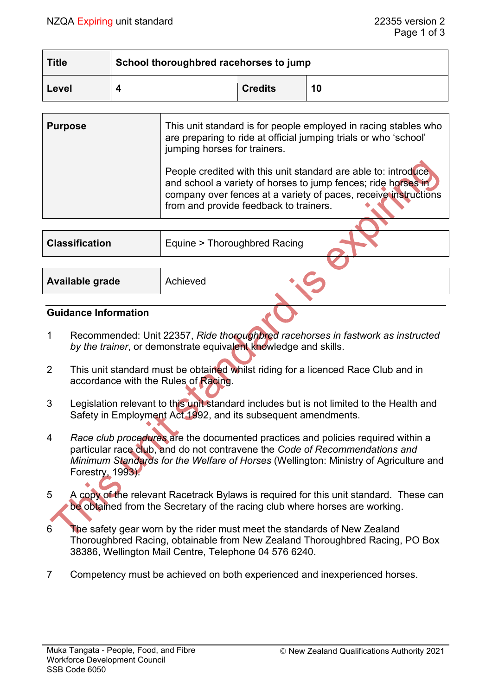| <b>Title</b> | School thoroughbred racehorses to jump |                |    |  |
|--------------|----------------------------------------|----------------|----|--|
| Level        |                                        | <b>Credits</b> | 10 |  |

| <b>Purpose</b>        | This unit standard is for people employed in racing stables who<br>are preparing to ride at official jumping trials or who 'school'<br>jumping horses for trainers.                                                                          |  |
|-----------------------|----------------------------------------------------------------------------------------------------------------------------------------------------------------------------------------------------------------------------------------------|--|
|                       | People credited with this unit standard are able to: introduce<br>and school a variety of horses to jump fences; ride horses in<br>company over fences at a variety of paces, receive instructions<br>from and provide feedback to trainers. |  |
|                       |                                                                                                                                                                                                                                              |  |
| <b>Classification</b> | Equine > Thoroughbred Racing                                                                                                                                                                                                                 |  |
|                       |                                                                                                                                                                                                                                              |  |
| Available grade       | Achieved                                                                                                                                                                                                                                     |  |

#### **Guidance Information**

- 1 Recommended: Unit 22357, *Ride thoroughbred racehorses in fastwork as instructed*  by the trainer, or demonstrate equivalent knowledge and skills.
- 2 This unit standard must be obtained whilst riding for a licenced Race Club and in accordance with the Rules of Racing.
- 3 Legislation relevant to this unit standard includes but is not limited to the Health and Safety in Employment Act 1992, and its subsequent amendments.
- 4 *Race club procedures* are the documented practices and policies required within a particular race club, and do not contravene the *Code of Recommendations and Minimum Standards for the Welfare of Horses* (Wellington: Ministry of Agriculture and Forestry, 1993).
- 5 A copy of the relevant Racetrack Bylaws is required for this unit standard. These can be obtained from the Secretary of the racing club where horses are working.
- 6 The safety gear worn by the rider must meet the standards of New Zealand Thoroughbred Racing, obtainable from New Zealand Thoroughbred Racing, PO Box 38386, Wellington Mail Centre, Telephone 04 576 6240.
- 7 Competency must be achieved on both experienced and inexperienced horses.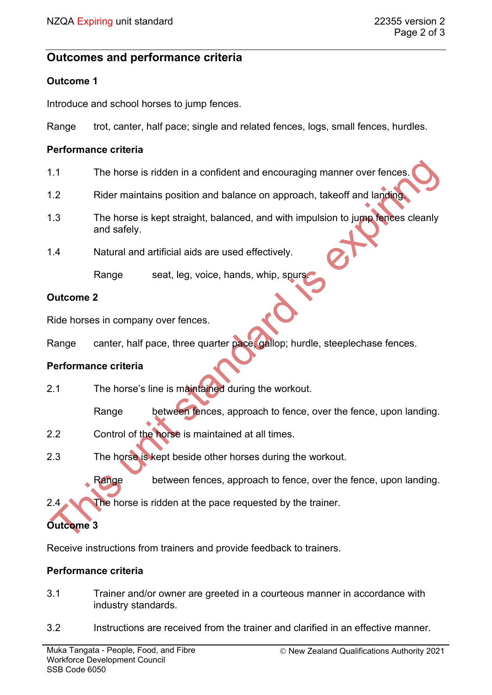## **Outcomes and performance criteria**

## **Outcome 1**

Introduce and school horses to jump fences.

Range trot, canter, half pace; single and related fences, logs, small fences, hurdles.

#### **Performance criteria**

- 1.1 The horse is ridden in a confident and encouraging manner over fences.
- 1.2 Rider maintains position and balance on approach, takeoff and landing.
- 1.3 The horse is kept straight, balanced, and with impulsion to jump fences cleanly and safely.
- 1.4 Natural and artificial aids are used effectively.

Range seat, leg, voice, hands, whip, spurs.

## **Outcome 2**

Ride horses in company over fences.

Range canter, half pace, three quarter pace, gallop; hurdle, steeplechase fences.

## **Performance criteria**

- 2.1 The horse's line is maintained during the workout.
	- Range between fences, approach to fence, over the fence, upon landing.
- 2.2 Control of the horse is maintained at all times.
- 2.3 The horse is kept beside other horses during the workout.

Range between fences, approach to fence, over the fence, upon landing.

2.4 The horse is ridden at the pace requested by the trainer.

# **Outcome 3**

Receive instructions from trainers and provide feedback to trainers.

## **Performance criteria**

- 3.1 Trainer and/or owner are greeted in a courteous manner in accordance with industry standards.
- 3.2 Instructions are received from the trainer and clarified in an effective manner.